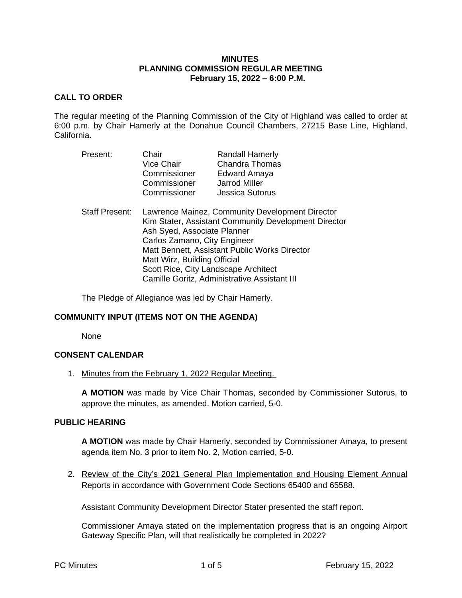### **MINUTES PLANNING COMMISSION REGULAR MEETING February 15, 2022 – 6:00 P.M.**

### **CALL TO ORDER**

The regular meeting of the Planning Commission of the City of Highland was called to order at 6:00 p.m. by Chair Hamerly at the Donahue Council Chambers, 27215 Base Line, Highland, California.

| Present:              | Chair<br>Vice Chair<br>Commissioner<br>Commissioner<br>Commissioner                                                                                                                                                                                                                                                                             | <b>Randall Hamerly</b><br><b>Chandra Thomas</b><br>Edward Amaya<br>Jarrod Miller<br><b>Jessica Sutorus</b> |
|-----------------------|-------------------------------------------------------------------------------------------------------------------------------------------------------------------------------------------------------------------------------------------------------------------------------------------------------------------------------------------------|------------------------------------------------------------------------------------------------------------|
| <b>Staff Present:</b> | Lawrence Mainez, Community Development Director<br>Kim Stater, Assistant Community Development Director<br>Ash Syed, Associate Planner<br>Carlos Zamano, City Engineer<br>Matt Bennett, Assistant Public Works Director<br>Matt Wirz, Building Official<br>Scott Rice, City Landscape Architect<br>Camille Goritz, Administrative Assistant III |                                                                                                            |

The Pledge of Allegiance was led by Chair Hamerly.

# **COMMUNITY INPUT (ITEMS NOT ON THE AGENDA)**

None

#### **CONSENT CALENDAR**

1. Minutes from the February 1, 2022 Regular Meeting.

**A MOTION** was made by Vice Chair Thomas, seconded by Commissioner Sutorus, to approve the minutes, as amended. Motion carried, 5-0.

#### **PUBLIC HEARING**

**A MOTION** was made by Chair Hamerly, seconded by Commissioner Amaya, to present agenda item No. 3 prior to item No. 2, Motion carried, 5-0.

2. Review of the City's 2021 General Plan Implementation and Housing Element Annual Reports in accordance with Government Code Sections 65400 and 65588.

Assistant Community Development Director Stater presented the staff report.

Commissioner Amaya stated on the implementation progress that is an ongoing Airport Gateway Specific Plan, will that realistically be completed in 2022?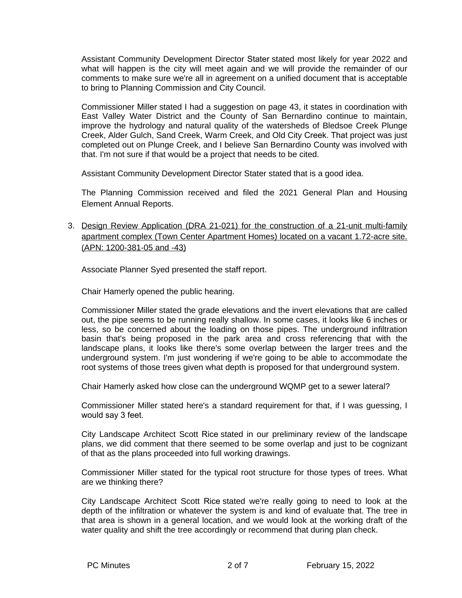Assistant Community Development Director Stater stated most likely for year 2022 and what will happen is the city will meet again and we will provide the remainder of our comments to make sure we're all in agreement on a unified document that is acceptable to bring to Planning Commission and City Council.

Commissioner Miller stated I had a suggestion on page 43, it states in coordination with East Valley Water District and the County of San Bernardino continue to maintain, improve the hydrology and natural quality of the watersheds of Bledsoe Creek Plunge Creek, Alder Gulch, Sand Creek, Warm Creek, and Old City Creek. That project was just completed out on Plunge Creek, and I believe San Bernardino County was involved with that. I'm not sure if that would be a project that needs to be cited.

Assistant Community Development Director Stater stated that is a good idea.

The Planning Commission received and filed the 2021 General Plan and Housing Element Annual Reports.

3. Design Review Application (DRA 21-021) for the construction of a 21-unit multi-family apartment complex (Town Center Apartment Homes) located on a vacant 1.72-acre site. (APN: 1200-381-05 and -43)

Associate Planner Syed presented the staff report.

Chair Hamerly opened the public hearing.

Commissioner Miller stated the grade elevations and the invert elevations that are called out, the pipe seems to be running really shallow. In some cases, it looks like 6 inches or less, so be concerned about the loading on those pipes. The underground infiltration basin that's being proposed in the park area and cross referencing that with the landscape plans, it looks like there's some overlap between the larger trees and the underground system. I'm just wondering if we're going to be able to accommodate the root systems of those trees given what depth is proposed for that underground system.

Chair Hamerly asked how close can the underground WQMP get to a sewer lateral?

Commissioner Miller stated here's a standard requirement for that, if I was guessing, I would say 3 feet.

City Landscape Architect Scott Rice stated in our preliminary review of the landscape plans, we did comment that there seemed to be some overlap and just to be cognizant of that as the plans proceeded into full working drawings.

Commissioner Miller stated for the typical root structure for those types of trees. What are we thinking there?

City Landscape Architect Scott Rice stated we're really going to need to look at the depth of the infiltration or whatever the system is and kind of evaluate that. The tree in that area is shown in a general location, and we would look at the working draft of the water quality and shift the tree accordingly or recommend that during plan check.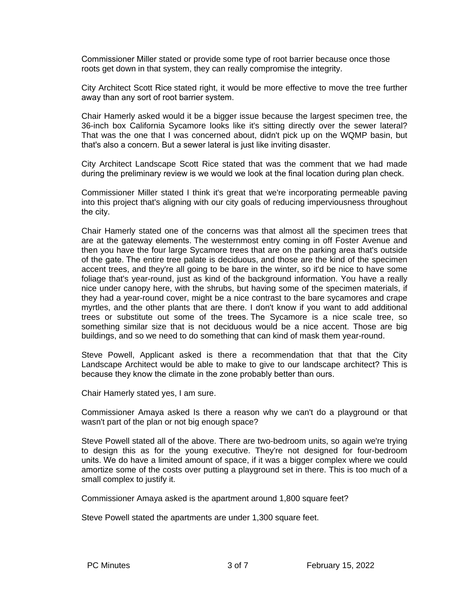Commissioner Miller stated or provide some type of root barrier because once those roots get down in that system, they can really compromise the integrity.

City Architect Scott Rice stated right, it would be more effective to move the tree further away than any sort of root barrier system.

Chair Hamerly asked would it be a bigger issue because the largest specimen tree, the 36-inch box California Sycamore looks like it's sitting directly over the sewer lateral? That was the one that I was concerned about, didn't pick up on the WQMP basin, but that's also a concern. But a sewer lateral is just like inviting disaster.

City Architect Landscape Scott Rice stated that was the comment that we had made during the preliminary review is we would we look at the final location during plan check.

Commissioner Miller stated I think it's great that we're incorporating permeable paving into this project that's aligning with our city goals of reducing imperviousness throughout the city.

Chair Hamerly stated one of the concerns was that almost all the specimen trees that are at the gateway elements. The westernmost entry coming in off Foster Avenue and then you have the four large Sycamore trees that are on the parking area that's outside of the gate. The entire tree palate is deciduous, and those are the kind of the specimen accent trees, and they're all going to be bare in the winter, so it'd be nice to have some foliage that's year-round, just as kind of the background information. You have a really nice under canopy here, with the shrubs, but having some of the specimen materials, if they had a year-round cover, might be a nice contrast to the bare sycamores and crape myrtles, and the other plants that are there. I don't know if you want to add additional trees or substitute out some of the trees. The Sycamore is a nice scale tree, so something similar size that is not deciduous would be a nice accent. Those are big buildings, and so we need to do something that can kind of mask them year-round.

Steve Powell, Applicant asked is there a recommendation that that that the City Landscape Architect would be able to make to give to our landscape architect? This is because they know the climate in the zone probably better than ours.

Chair Hamerly stated yes, I am sure.

Commissioner Amaya asked Is there a reason why we can't do a playground or that wasn't part of the plan or not big enough space?

Steve Powell stated all of the above. There are two-bedroom units, so again we're trying to design this as for the young executive. They're not designed for four-bedroom units. We do have a limited amount of space, if it was a bigger complex where we could amortize some of the costs over putting a playground set in there. This is too much of a small complex to justify it.

Commissioner Amaya asked is the apartment around 1,800 square feet?

Steve Powell stated the apartments are under 1,300 square feet.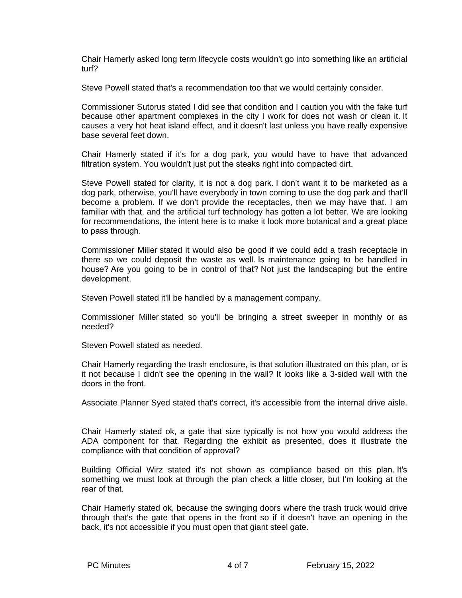Chair Hamerly asked long term lifecycle costs wouldn't go into something like an artificial turf?

Steve Powell stated that's a recommendation too that we would certainly consider.

Commissioner Sutorus stated I did see that condition and I caution you with the fake turf because other apartment complexes in the city I work for does not wash or clean it. It causes a very hot heat island effect, and it doesn't last unless you have really expensive base several feet down.

Chair Hamerly stated if it's for a dog park, you would have to have that advanced filtration system. You wouldn't just put the steaks right into compacted dirt.

Steve Powell stated for clarity, it is not a dog park. I don't want it to be marketed as a dog park, otherwise, you'll have everybody in town coming to use the dog park and that'll become a problem. If we don't provide the receptacles, then we may have that. I am familiar with that, and the artificial turf technology has gotten a lot better. We are looking for recommendations, the intent here is to make it look more botanical and a great place to pass through.

Commissioner Miller stated it would also be good if we could add a trash receptacle in there so we could deposit the waste as well. Is maintenance going to be handled in house? Are you going to be in control of that? Not just the landscaping but the entire development.

Steven Powell stated it'll be handled by a management company.

Commissioner Miller stated so you'll be bringing a street sweeper in monthly or as needed?

Steven Powell stated as needed.

Chair Hamerly regarding the trash enclosure, is that solution illustrated on this plan, or is it not because I didn't see the opening in the wall? It looks like a 3-sided wall with the doors in the front.

Associate Planner Syed stated that's correct, it's accessible from the internal drive aisle.

Chair Hamerly stated ok, a gate that size typically is not how you would address the ADA component for that. Regarding the exhibit as presented, does it illustrate the compliance with that condition of approval?

Building Official Wirz stated it's not shown as compliance based on this plan. It's something we must look at through the plan check a little closer, but I'm looking at the rear of that.

Chair Hamerly stated ok, because the swinging doors where the trash truck would drive through that's the gate that opens in the front so if it doesn't have an opening in the back, it's not accessible if you must open that giant steel gate.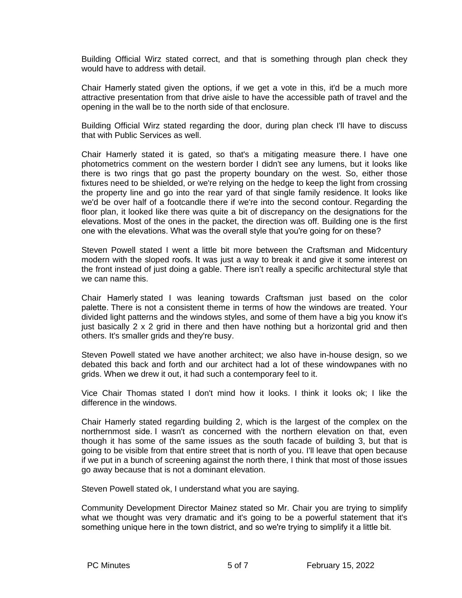Building Official Wirz stated correct, and that is something through plan check they would have to address with detail.

Chair Hamerly stated given the options, if we get a vote in this, it'd be a much more attractive presentation from that drive aisle to have the accessible path of travel and the opening in the wall be to the north side of that enclosure.

Building Official Wirz stated regarding the door, during plan check I'll have to discuss that with Public Services as well.

Chair Hamerly stated it is gated, so that's a mitigating measure there. I have one photometrics comment on the western border I didn't see any lumens, but it looks like there is two rings that go past the property boundary on the west. So, either those fixtures need to be shielded, or we're relying on the hedge to keep the light from crossing the property line and go into the rear yard of that single family residence. It looks like we'd be over half of a footcandle there if we're into the second contour. Regarding the floor plan, it looked like there was quite a bit of discrepancy on the designations for the elevations. Most of the ones in the packet, the direction was off. Building one is the first one with the elevations. What was the overall style that you're going for on these?

Steven Powell stated I went a little bit more between the Craftsman and Midcentury modern with the sloped roofs. It was just a way to break it and give it some interest on the front instead of just doing a gable. There isn't really a specific architectural style that we can name this.

Chair Hamerly stated I was leaning towards Craftsman just based on the color palette. There is not a consistent theme in terms of how the windows are treated. Your divided light patterns and the windows styles, and some of them have a big you know it's just basically  $2 \times 2$  grid in there and then have nothing but a horizontal grid and then others. It's smaller grids and they're busy.

Steven Powell stated we have another architect; we also have in-house design, so we debated this back and forth and our architect had a lot of these windowpanes with no grids. When we drew it out, it had such a contemporary feel to it.

Vice Chair Thomas stated I don't mind how it looks. I think it looks ok; I like the difference in the windows.

Chair Hamerly stated regarding building 2, which is the largest of the complex on the northernmost side. I wasn't as concerned with the northern elevation on that, even though it has some of the same issues as the south facade of building 3, but that is going to be visible from that entire street that is north of you. I'll leave that open because if we put in a bunch of screening against the north there, I think that most of those issues go away because that is not a dominant elevation.

Steven Powell stated ok, I understand what you are saying.

Community Development Director Mainez stated so Mr. Chair you are trying to simplify what we thought was very dramatic and it's going to be a powerful statement that it's something unique here in the town district, and so we're trying to simplify it a little bit.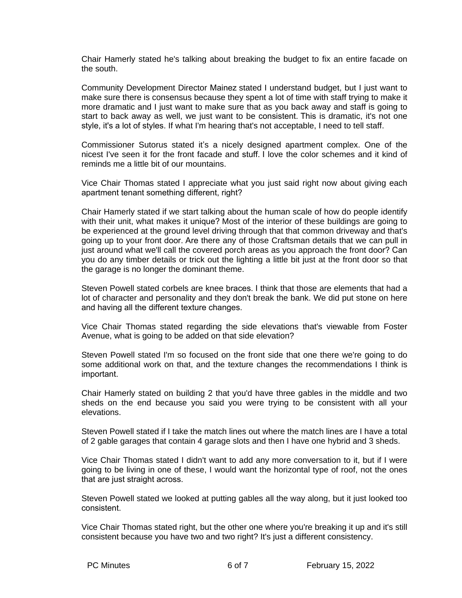Chair Hamerly stated he's talking about breaking the budget to fix an entire facade on the south.

Community Development Director Mainez stated I understand budget, but I just want to make sure there is consensus because they spent a lot of time with staff trying to make it more dramatic and I just want to make sure that as you back away and staff is going to start to back away as well, we just want to be consistent. This is dramatic, it's not one style, it's a lot of styles. If what I'm hearing that's not acceptable, I need to tell staff.

Commissioner Sutorus stated it's a nicely designed apartment complex. One of the nicest I've seen it for the front facade and stuff. I love the color schemes and it kind of reminds me a little bit of our mountains.

Vice Chair Thomas stated I appreciate what you just said right now about giving each apartment tenant something different, right?

Chair Hamerly stated if we start talking about the human scale of how do people identify with their unit, what makes it unique? Most of the interior of these buildings are going to be experienced at the ground level driving through that that common driveway and that's going up to your front door. Are there any of those Craftsman details that we can pull in just around what we'll call the covered porch areas as you approach the front door? Can you do any timber details or trick out the lighting a little bit just at the front door so that the garage is no longer the dominant theme.

Steven Powell stated corbels are knee braces. I think that those are elements that had a lot of character and personality and they don't break the bank. We did put stone on here and having all the different texture changes.

Vice Chair Thomas stated regarding the side elevations that's viewable from Foster Avenue, what is going to be added on that side elevation?

Steven Powell stated I'm so focused on the front side that one there we're going to do some additional work on that, and the texture changes the recommendations I think is important.

Chair Hamerly stated on building 2 that you'd have three gables in the middle and two sheds on the end because you said you were trying to be consistent with all your elevations.

Steven Powell stated if I take the match lines out where the match lines are I have a total of 2 gable garages that contain 4 garage slots and then I have one hybrid and 3 sheds.

Vice Chair Thomas stated I didn't want to add any more conversation to it, but if I were going to be living in one of these, I would want the horizontal type of roof, not the ones that are just straight across.

Steven Powell stated we looked at putting gables all the way along, but it just looked too consistent.

Vice Chair Thomas stated right, but the other one where you're breaking it up and it's still consistent because you have two and two right? It's just a different consistency.